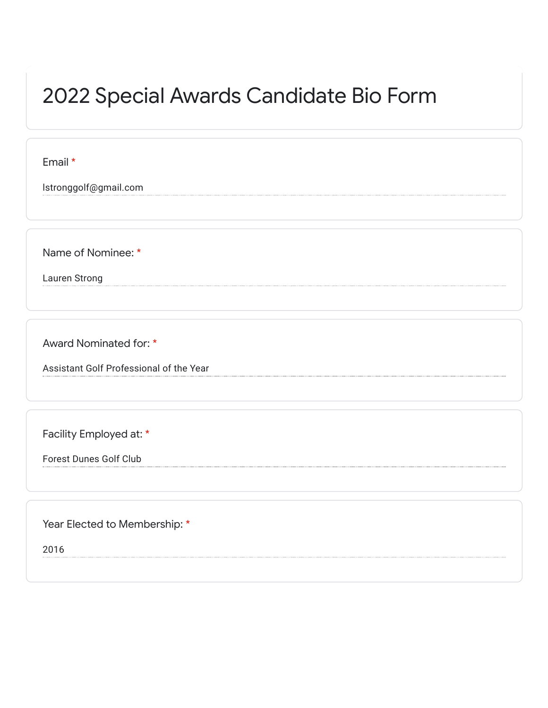## 2022 Special Awards Candidate Bio Form

Email \*

lstronggolf@gmail.com

Name of Nominee: \*

Lauren Strong

Award Nominated for: \*

Assistant Golf Professional of the Year

Facility Employed at: \*

Forest Dunes Golf Club

Year Elected to Membership: \*

2016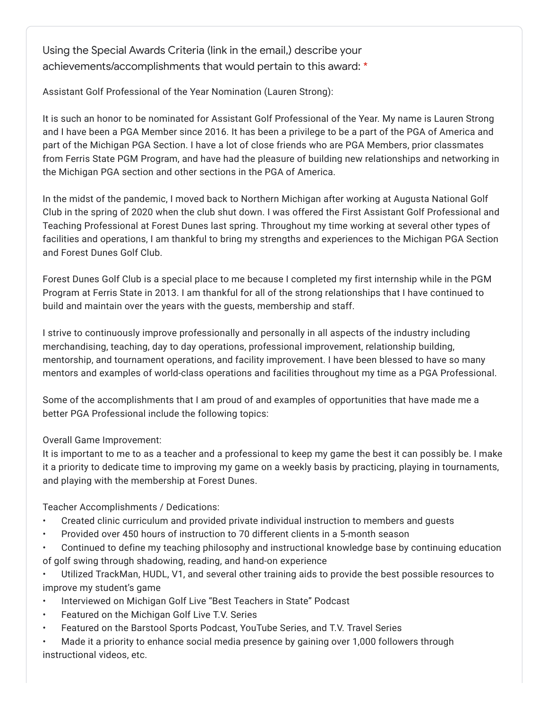Using the Special Awards Criteria (link in the email,) describe your achievements/accomplishments that would pertain to this award: \*

Assistant Golf Professional of the Year Nomination (Lauren Strong):

It is such an honor to be nominated for Assistant Golf Professional of the Year. My name is Lauren Strong and I have been a PGA Member since 2016. It has been a privilege to be a part of the PGA of America and part of the Michigan PGA Section. I have a lot of close friends who are PGA Members, prior classmates from Ferris State PGM Program, and have had the pleasure of building new relationships and networking in the Michigan PGA section and other sections in the PGA of America.

In the midst of the pandemic, I moved back to Northern Michigan after working at Augusta National Golf Club in the spring of 2020 when the club shut down. I was offered the First Assistant Golf Professional and Teaching Professional at Forest Dunes last spring. Throughout my time working at several other types of facilities and operations, I am thankful to bring my strengths and experiences to the Michigan PGA Section and Forest Dunes Golf Club.

Forest Dunes Golf Club is a special place to me because I completed my first internship while in the PGM Program at Ferris State in 2013. I am thankful for all of the strong relationships that I have continued to build and maintain over the years with the guests, membership and staff.

I strive to continuously improve professionally and personally in all aspects of the industry including merchandising, teaching, day to day operations, professional improvement, relationship building, mentorship, and tournament operations, and facility improvement. I have been blessed to have so many mentors and examples of world-class operations and facilities throughout my time as a PGA Professional.

Some of the accomplishments that I am proud of and examples of opportunities that have made me a better PGA Professional include the following topics:

Overall Game Improvement:

It is important to me to as a teacher and a professional to keep my game the best it can possibly be. I make it a priority to dedicate time to improving my game on a weekly basis by practicing, playing in tournaments, and playing with the membership at Forest Dunes.

Teacher Accomplishments / Dedications:

- Created clinic curriculum and provided private individual instruction to members and guests
- Provided over 450 hours of instruction to 70 different clients in a 5-month season

• Continued to define my teaching philosophy and instructional knowledge base by continuing education of golf swing through shadowing, reading, and hand-on experience

• Utilized TrackMan, HUDL, V1, and several other training aids to provide the best possible resources to improve my student's game

- Interviewed on Michigan Golf Live "Best Teachers in State" Podcast
- Featured on the Michigan Golf Live T.V. Series
- Featured on the Barstool Sports Podcast, YouTube Series, and T.V. Travel Series

• Made it a priority to enhance social media presence by gaining over 1,000 followers through instructional videos, etc.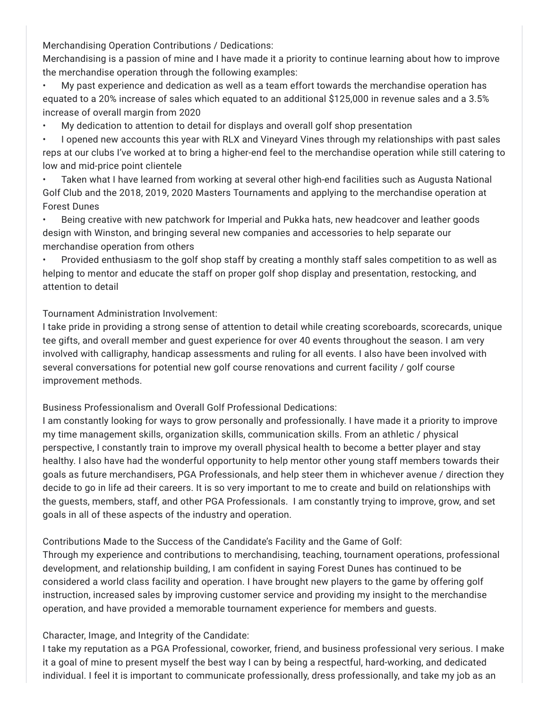Merchandising Operation Contributions / Dedications:

Merchandising is a passion of mine and I have made it a priority to continue learning about how to improve the merchandise operation through the following examples:

• My past experience and dedication as well as a team effort towards the merchandise operation has equated to a 20% increase of sales which equated to an additional \$125,000 in revenue sales and a 3.5% increase of overall margin from 2020

• My dedication to attention to detail for displays and overall golf shop presentation

• I opened new accounts this year with RLX and Vineyard Vines through my relationships with past sales reps at our clubs I've worked at to bring a higher-end feel to the merchandise operation while still catering to low and mid-price point clientele

• Taken what I have learned from working at several other high-end facilities such as Augusta National Golf Club and the 2018, 2019, 2020 Masters Tournaments and applying to the merchandise operation at Forest Dunes

• Being creative with new patchwork for Imperial and Pukka hats, new headcover and leather goods design with Winston, and bringing several new companies and accessories to help separate our merchandise operation from others

• Provided enthusiasm to the golf shop staff by creating a monthly staff sales competition to as well as helping to mentor and educate the staff on proper golf shop display and presentation, restocking, and attention to detail

Tournament Administration Involvement:

I take pride in providing a strong sense of attention to detail while creating scoreboards, scorecards, unique tee gifts, and overall member and guest experience for over 40 events throughout the season. I am very involved with calligraphy, handicap assessments and ruling for all events. I also have been involved with several conversations for potential new golf course renovations and current facility / golf course improvement methods.

Business Professionalism and Overall Golf Professional Dedications:

I am constantly looking for ways to grow personally and professionally. I have made it a priority to improve my time management skills, organization skills, communication skills. From an athletic / physical perspective, I constantly train to improve my overall physical health to become a better player and stay healthy. I also have had the wonderful opportunity to help mentor other young staff members towards their goals as future merchandisers, PGA Professionals, and help steer them in whichever avenue / direction they decide to go in life ad their careers. It is so very important to me to create and build on relationships with the guests, members, staff, and other PGA Professionals. I am constantly trying to improve, grow, and set goals in all of these aspects of the industry and operation.

Contributions Made to the Success of the Candidate's Facility and the Game of Golf:

Through my experience and contributions to merchandising, teaching, tournament operations, professional development, and relationship building, I am confident in saying Forest Dunes has continued to be considered a world class facility and operation. I have brought new players to the game by offering golf instruction, increased sales by improving customer service and providing my insight to the merchandise operation, and have provided a memorable tournament experience for members and guests.

## Character, Image, and Integrity of the Candidate:

I take my reputation as a PGA Professional, coworker, friend, and business professional very serious. I make it a goal of mine to present myself the best way I can by being a respectful, hard-working, and dedicated individual. I feel it is important to communicate professionally, dress professionally, and take my job as an